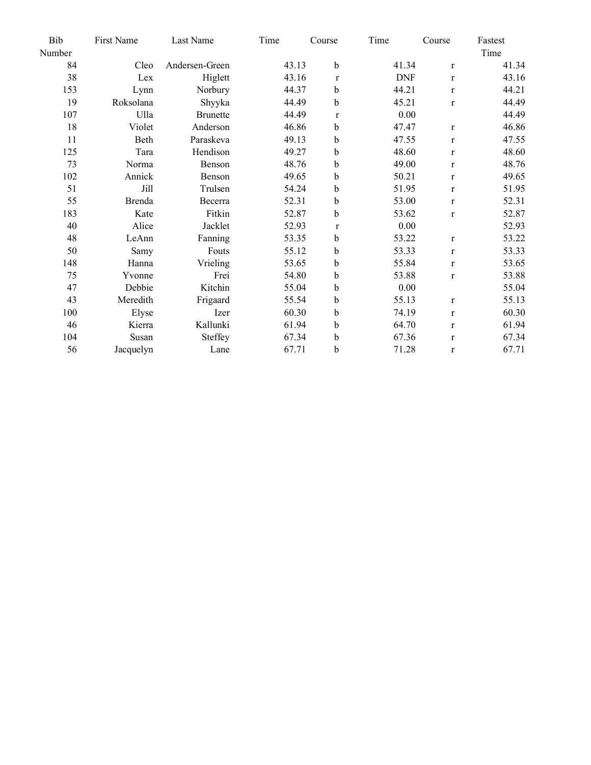| Bib    | First Name | Last Name       | Time  | Course       | Time       | Course       | Fastest |
|--------|------------|-----------------|-------|--------------|------------|--------------|---------|
| Number |            |                 |       |              |            |              | Time    |
| 84     | Cleo       | Andersen-Green  | 43.13 | $\mathbf b$  | 41.34      | $\mathbf{r}$ | 41.34   |
| 38     | Lex        | Higlett         | 43.16 | $\mathbf{r}$ | <b>DNF</b> | $\mathbf{r}$ | 43.16   |
| 153    | Lynn       | Norbury         | 44.37 | $\mathbf b$  | 44.21      | $\mathbf{r}$ | 44.21   |
| 19     | Roksolana  | Shyyka          | 44.49 | $\mathbf b$  | 45.21      | $\mathbf{r}$ | 44.49   |
| 107    | Ulla       | <b>Brunette</b> | 44.49 | $\mathbf{r}$ | 0.00       |              | 44.49   |
| 18     | Violet     | Anderson        | 46.86 | b            | 47.47      | $\mathbf r$  | 46.86   |
| 11     | Beth       | Paraskeva       | 49.13 | b            | 47.55      | $\mathbf{r}$ | 47.55   |
| 125    | Tara       | Hendison        | 49.27 | b            | 48.60      | $\mathbf{r}$ | 48.60   |
| 73     | Norma      | Benson          | 48.76 | b            | 49.00      | $\mathbf{r}$ | 48.76   |
| 102    | Annick     | Benson          | 49.65 | $\mathbf b$  | 50.21      | $\mathbf{r}$ | 49.65   |
| 51     | Jill       | Trulsen         | 54.24 | $\mathbf b$  | 51.95      | $\mathbf{r}$ | 51.95   |
| 55     | Brenda     | Becerra         | 52.31 | $\mathbf b$  | 53.00      | $\mathbf{r}$ | 52.31   |
| 183    | Kate       | Fitkin          | 52.87 | $\mathbf b$  | 53.62      | $\mathbf{r}$ | 52.87   |
| 40     | Alice      | Jacklet         | 52.93 | $\bf r$      | 0.00       |              | 52.93   |
| 48     | LeAnn      | Fanning         | 53.35 | b            | 53.22      | $\mathbf{r}$ | 53.22   |
| 50     | Samy       | Fouts           | 55.12 | b            | 53.33      | $\mathbf{r}$ | 53.33   |
| 148    | Hanna      | Vrieling        | 53.65 | $\mathbf b$  | 55.84      | $\mathbf{r}$ | 53.65   |
| 75     | Yvonne     | Frei            | 54.80 | $\mathbf b$  | 53.88      | $\mathbf{r}$ | 53.88   |
| 47     | Debbie     | Kitchin         | 55.04 | $\mathbf b$  | 0.00       |              | 55.04   |
| 43     | Meredith   | Frigaard        | 55.54 | $\bf b$      | 55.13      | $\mathbf r$  | 55.13   |
| 100    | Elyse      | Izer            | 60.30 | $\mathbf b$  | 74.19      | $\mathbf{r}$ | 60.30   |
| 46     | Kierra     | Kallunki        | 61.94 | b            | 64.70      | $\mathbf{r}$ | 61.94   |
| 104    | Susan      | Steffey         | 67.34 | b            | 67.36      | $\mathbf{r}$ | 67.34   |
| 56     | Jacquelyn  | Lane            | 67.71 | b            | 71.28      | $\mathbf r$  | 67.71   |